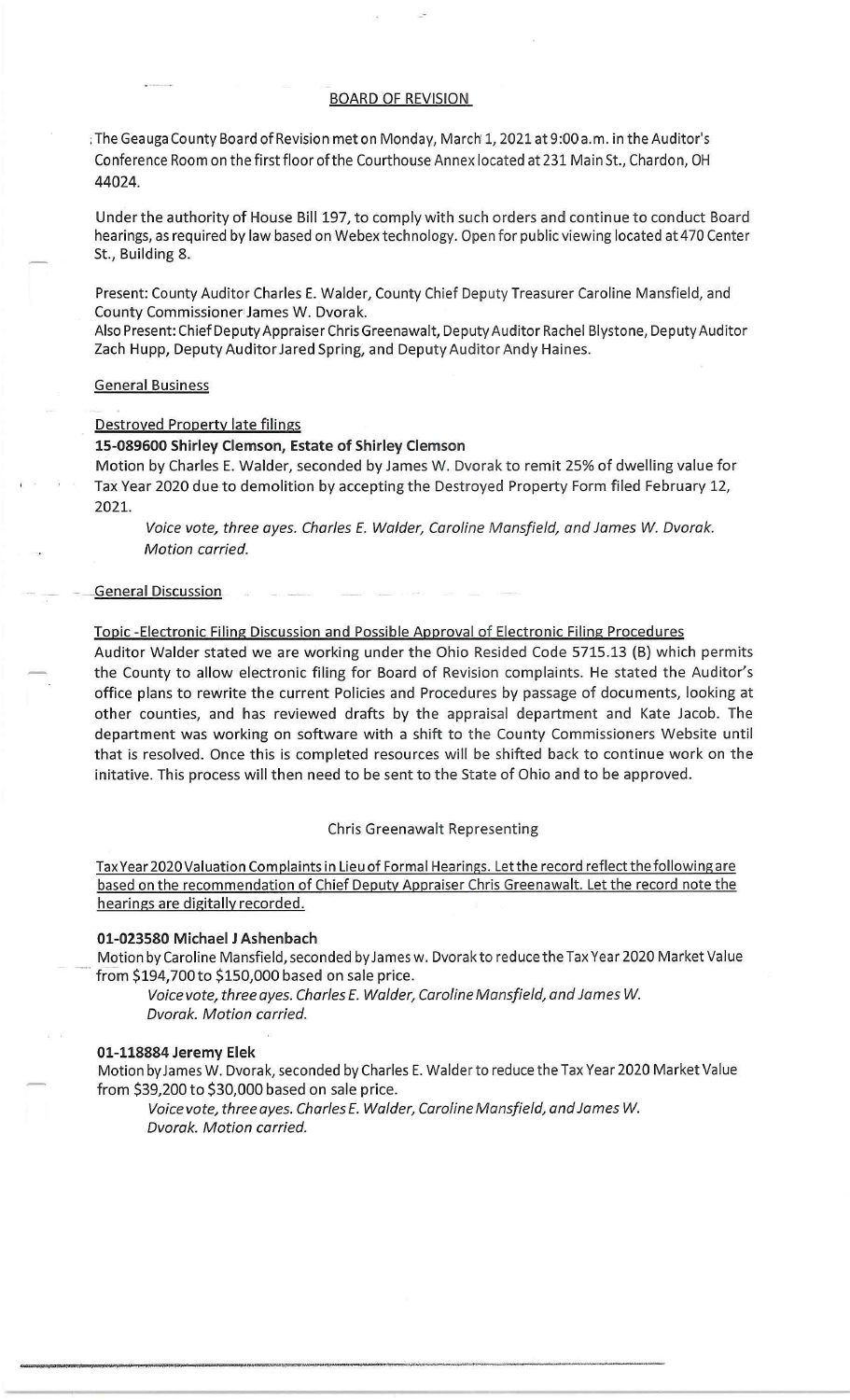## BOARD OF REVISION

:The Geauga County Board of Revision met on Monday, March' 1, 2021 at 9:00a.m. in the Auditor's Conference Room on the first floor of the Courthouse Annex located at 231 Main St., Chardon, OH 44024.

Under the authority of House Bill 197, to comply with such orders and continue to conduct Board hearings, as required by law based on Webex technology. Open for public viewing located at 470 Center St., Building 8.

Present: County Auditor Charles E. Walder, County Chief Deputy Treasurer Caroline Mansfield, and County Commissioner James W. Dvorak.

Also Present: Chief Deputy Appraiser Chris Greenawalt, Deputy Auditor Rachel Blystone, Deputy Auditor Zach Hupp, Deputy Auditor Jared Spring, and Deputy Auditor Andy Haines.

## General Business

### Destroyed Property late filings

## **15-089600 Shirley Clemson, Estate of Shirley Clemson**

Motion by Charles E. Walder, seconded by James W. Dvorak to remit 25% of dwelling value for Tax Year 2020 due to demolition by accepting the Destroyed Property Form filed February 12, 2021.

Voice vote, three ayes. Charles E. Walder, Caroline Mansfield, and James W. Dvorak. Motion carried.

#### General Discussion

### Topic -Electronic Filing Discussion and Possible Approval of Electronic Filing Procedures

Auditor Walder stated we are working under the Ohio Resided Code 5715.13 (B) which permits the County to allow electronic filing for Board of Revision complaints. He stated the Auditor's office plans to rewrite the current Policies and Procedures by passage of documents, looking at other counties, and has reviewed drafts by the appraisal department and Kate Jacob. The department was working on software with a shift to the County Commissioners Website until that is resolved. Once this is completed resources will be shifted back to continue work on the initative. This process will then need to be sent to the State of Ohio and to be approved.

#### Chris Greenawalt Representing

Tax Year 2020 Valuation Complaints in Lieu of Formal Hearings. Let the record reflect the following are based on the recommendation of Chief Deputy Appraiser Chris Greenawalt. Let the record note the hearings are digitally recorded.

### **01-023580 Michael J Ashenbach**

Motion by Caroline Mansfield, seconded by James w. Dvorak to reduce the Tax Year 2020 Market Value from \$194,700 to \$150,000 based on sale price.

Voice vote, three ayes. Charles E. Walder, Caroline Mansfield, and James W. Dvorak. Motion carried.

## **01-118884 Jeremy Elek**

Motion by James W. Dvorak, seconded by Charles E. Walder to reduce the Tax Year 2020 Market Value from \$39,200 to \$30,000 based on sale price.

Voice vote, three ayes. Charles *E.* Walder, Caroline Mansfield, and James W. Dvorak. Motion carried.